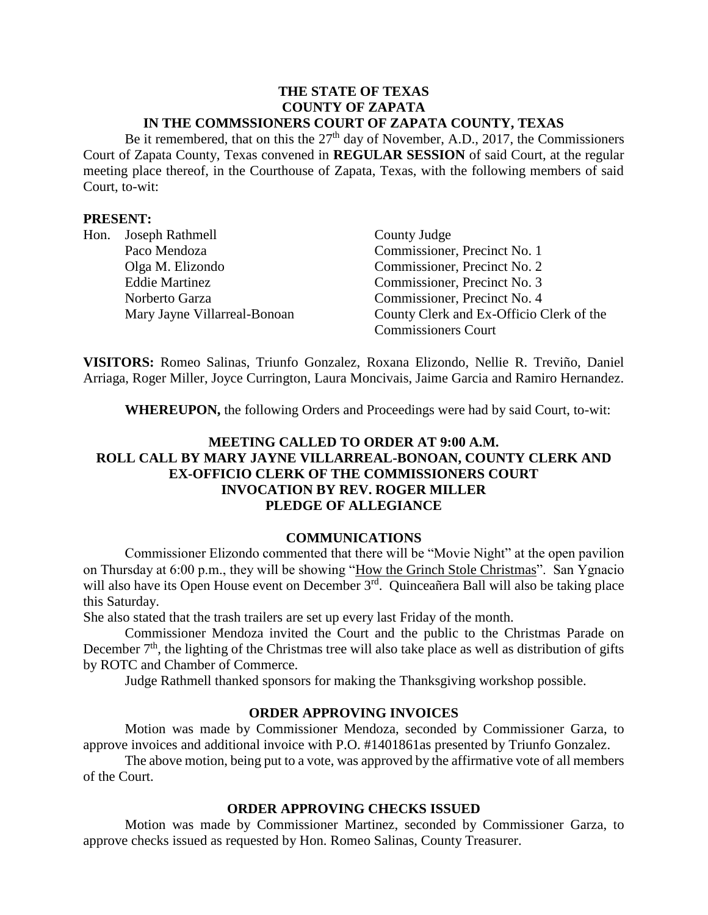### **THE STATE OF TEXAS COUNTY OF ZAPATA IN THE COMMSSIONERS COURT OF ZAPATA COUNTY, TEXAS**

Be it remembered, that on this the  $27<sup>th</sup>$  day of November, A.D., 2017, the Commissioners Court of Zapata County, Texas convened in **REGULAR SESSION** of said Court, at the regular meeting place thereof, in the Courthouse of Zapata, Texas, with the following members of said Court, to-wit:

### **PRESENT:**

| Hon. | Joseph Rathmell              | County Judge                             |
|------|------------------------------|------------------------------------------|
|      | Paco Mendoza                 | Commissioner, Precinct No. 1             |
|      | Olga M. Elizondo             | Commissioner, Precinct No. 2             |
|      | <b>Eddie Martinez</b>        | Commissioner, Precinct No. 3             |
|      | Norberto Garza               | Commissioner, Precinct No. 4             |
|      | Mary Jayne Villarreal-Bonoan | County Clerk and Ex-Officio Clerk of the |
|      |                              | <b>Commissioners Court</b>               |

**VISITORS:** Romeo Salinas, Triunfo Gonzalez, Roxana Elizondo, Nellie R. Treviño, Daniel Arriaga, Roger Miller, Joyce Currington, Laura Moncivais, Jaime Garcia and Ramiro Hernandez.

**WHEREUPON,** the following Orders and Proceedings were had by said Court, to-wit:

# **MEETING CALLED TO ORDER AT 9:00 A.M. ROLL CALL BY MARY JAYNE VILLARREAL-BONOAN, COUNTY CLERK AND EX-OFFICIO CLERK OF THE COMMISSIONERS COURT INVOCATION BY REV. ROGER MILLER PLEDGE OF ALLEGIANCE**

#### **COMMUNICATIONS**

Commissioner Elizondo commented that there will be "Movie Night" at the open pavilion on Thursday at 6:00 p.m., they will be showing "How the Grinch Stole Christmas". San Ygnacio will also have its Open House event on December 3<sup>rd</sup>. Quinceañera Ball will also be taking place this Saturday.

She also stated that the trash trailers are set up every last Friday of the month.

Commissioner Mendoza invited the Court and the public to the Christmas Parade on December  $7<sup>th</sup>$ , the lighting of the Christmas tree will also take place as well as distribution of gifts by ROTC and Chamber of Commerce.

Judge Rathmell thanked sponsors for making the Thanksgiving workshop possible.

## **ORDER APPROVING INVOICES**

Motion was made by Commissioner Mendoza, seconded by Commissioner Garza, to approve invoices and additional invoice with P.O. #1401861as presented by Triunfo Gonzalez.

The above motion, being put to a vote, was approved by the affirmative vote of all members of the Court.

#### **ORDER APPROVING CHECKS ISSUED**

Motion was made by Commissioner Martinez, seconded by Commissioner Garza, to approve checks issued as requested by Hon. Romeo Salinas, County Treasurer.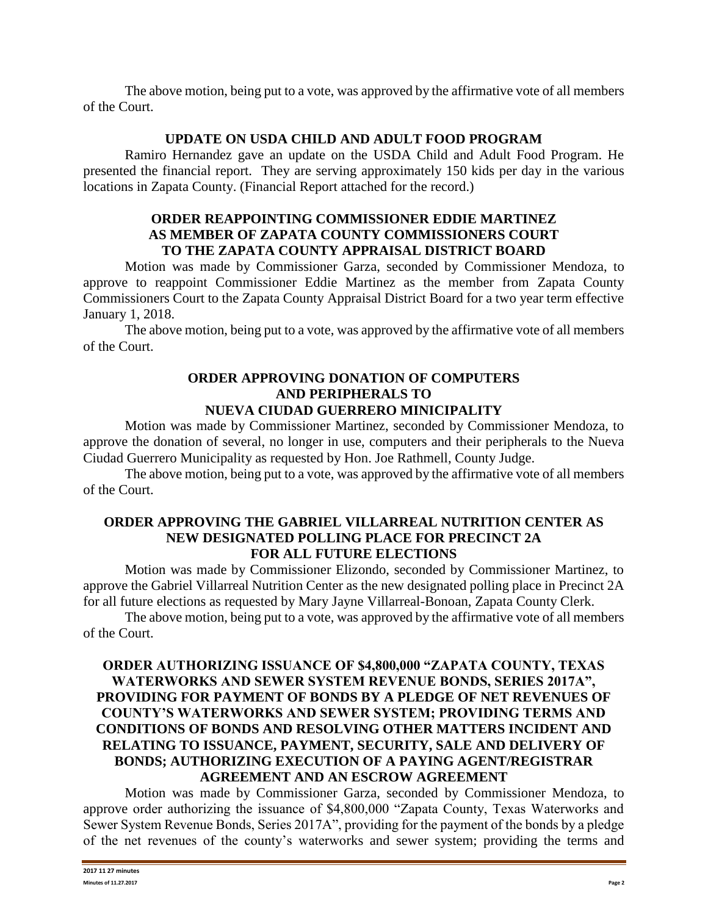The above motion, being put to a vote, was approved by the affirmative vote of all members of the Court.

# **UPDATE ON USDA CHILD AND ADULT FOOD PROGRAM**

Ramiro Hernandez gave an update on the USDA Child and Adult Food Program. He presented the financial report. They are serving approximately 150 kids per day in the various locations in Zapata County. (Financial Report attached for the record.)

# **ORDER REAPPOINTING COMMISSIONER EDDIE MARTINEZ AS MEMBER OF ZAPATA COUNTY COMMISSIONERS COURT TO THE ZAPATA COUNTY APPRAISAL DISTRICT BOARD**

Motion was made by Commissioner Garza, seconded by Commissioner Mendoza, to approve to reappoint Commissioner Eddie Martinez as the member from Zapata County Commissioners Court to the Zapata County Appraisal District Board for a two year term effective January 1, 2018.

The above motion, being put to a vote, was approved by the affirmative vote of all members of the Court.

## **ORDER APPROVING DONATION OF COMPUTERS AND PERIPHERALS TO NUEVA CIUDAD GUERRERO MINICIPALITY**

Motion was made by Commissioner Martinez, seconded by Commissioner Mendoza, to approve the donation of several, no longer in use, computers and their peripherals to the Nueva Ciudad Guerrero Municipality as requested by Hon. Joe Rathmell, County Judge.

The above motion, being put to a vote, was approved by the affirmative vote of all members of the Court.

## **ORDER APPROVING THE GABRIEL VILLARREAL NUTRITION CENTER AS NEW DESIGNATED POLLING PLACE FOR PRECINCT 2A FOR ALL FUTURE ELECTIONS**

Motion was made by Commissioner Elizondo, seconded by Commissioner Martinez, to approve the Gabriel Villarreal Nutrition Center as the new designated polling place in Precinct 2A for all future elections as requested by Mary Jayne Villarreal-Bonoan, Zapata County Clerk.

The above motion, being put to a vote, was approved by the affirmative vote of all members of the Court.

# **ORDER AUTHORIZING ISSUANCE OF \$4,800,000 "ZAPATA COUNTY, TEXAS WATERWORKS AND SEWER SYSTEM REVENUE BONDS, SERIES 2017A", PROVIDING FOR PAYMENT OF BONDS BY A PLEDGE OF NET REVENUES OF COUNTY'S WATERWORKS AND SEWER SYSTEM; PROVIDING TERMS AND CONDITIONS OF BONDS AND RESOLVING OTHER MATTERS INCIDENT AND RELATING TO ISSUANCE, PAYMENT, SECURITY, SALE AND DELIVERY OF BONDS; AUTHORIZING EXECUTION OF A PAYING AGENT/REGISTRAR AGREEMENT AND AN ESCROW AGREEMENT**

Motion was made by Commissioner Garza, seconded by Commissioner Mendoza, to approve order authorizing the issuance of \$4,800,000 "Zapata County, Texas Waterworks and Sewer System Revenue Bonds, Series 2017A", providing for the payment of the bonds by a pledge of the net revenues of the county's waterworks and sewer system; providing the terms and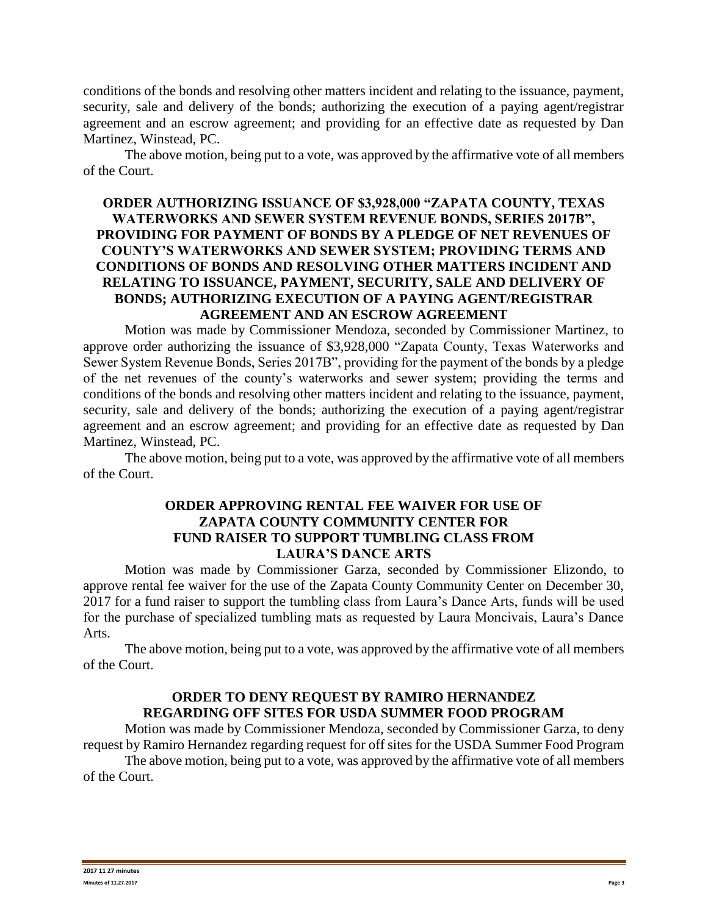conditions of the bonds and resolving other matters incident and relating to the issuance, payment, security, sale and delivery of the bonds; authorizing the execution of a paying agent/registrar agreement and an escrow agreement; and providing for an effective date as requested by Dan Martinez, Winstead, PC.

The above motion, being put to a vote, was approved by the affirmative vote of all members of the Court.

# **ORDER AUTHORIZING ISSUANCE OF \$3,928,000 "ZAPATA COUNTY, TEXAS WATERWORKS AND SEWER SYSTEM REVENUE BONDS, SERIES 2017B", PROVIDING FOR PAYMENT OF BONDS BY A PLEDGE OF NET REVENUES OF COUNTY'S WATERWORKS AND SEWER SYSTEM; PROVIDING TERMS AND CONDITIONS OF BONDS AND RESOLVING OTHER MATTERS INCIDENT AND RELATING TO ISSUANCE, PAYMENT, SECURITY, SALE AND DELIVERY OF BONDS; AUTHORIZING EXECUTION OF A PAYING AGENT/REGISTRAR AGREEMENT AND AN ESCROW AGREEMENT**

Motion was made by Commissioner Mendoza, seconded by Commissioner Martinez, to approve order authorizing the issuance of \$3,928,000 "Zapata County, Texas Waterworks and Sewer System Revenue Bonds, Series 2017B", providing for the payment of the bonds by a pledge of the net revenues of the county's waterworks and sewer system; providing the terms and conditions of the bonds and resolving other matters incident and relating to the issuance, payment, security, sale and delivery of the bonds; authorizing the execution of a paying agent/registrar agreement and an escrow agreement; and providing for an effective date as requested by Dan Martinez, Winstead, PC.

The above motion, being put to a vote, was approved by the affirmative vote of all members of the Court.

## **ORDER APPROVING RENTAL FEE WAIVER FOR USE OF ZAPATA COUNTY COMMUNITY CENTER FOR FUND RAISER TO SUPPORT TUMBLING CLASS FROM LAURA'S DANCE ARTS**

Motion was made by Commissioner Garza, seconded by Commissioner Elizondo, to approve rental fee waiver for the use of the Zapata County Community Center on December 30, 2017 for a fund raiser to support the tumbling class from Laura's Dance Arts, funds will be used for the purchase of specialized tumbling mats as requested by Laura Moncivais, Laura's Dance Arts.

The above motion, being put to a vote, was approved by the affirmative vote of all members of the Court.

# **ORDER TO DENY REQUEST BY RAMIRO HERNANDEZ REGARDING OFF SITES FOR USDA SUMMER FOOD PROGRAM**

Motion was made by Commissioner Mendoza, seconded by Commissioner Garza, to deny request by Ramiro Hernandez regarding request for off sites for the USDA Summer Food Program

The above motion, being put to a vote, was approved by the affirmative vote of all members of the Court.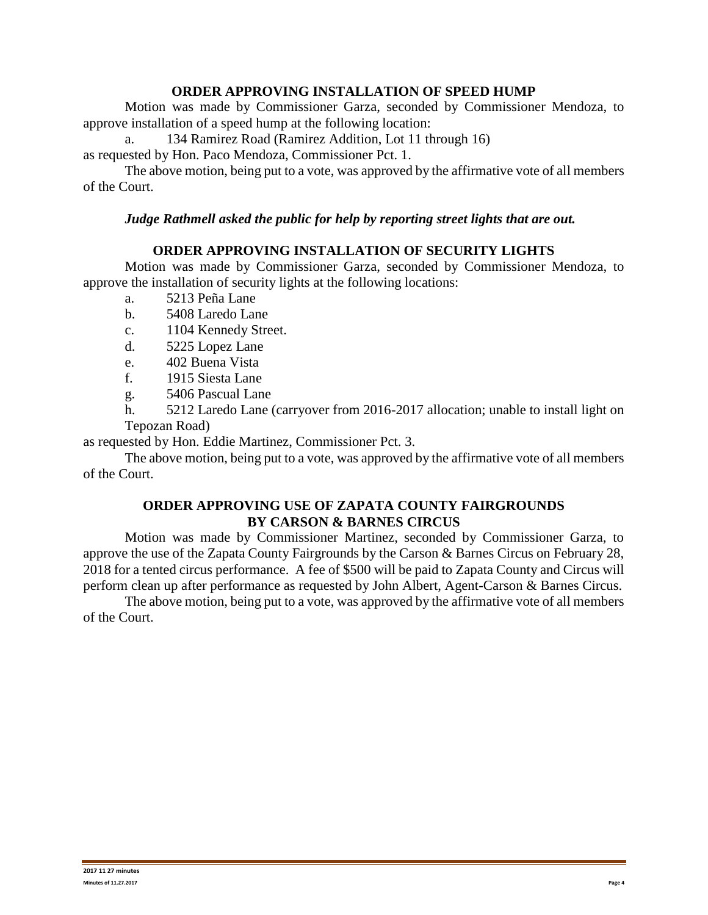## **ORDER APPROVING INSTALLATION OF SPEED HUMP**

Motion was made by Commissioner Garza, seconded by Commissioner Mendoza, to approve installation of a speed hump at the following location:

a. 134 Ramirez Road (Ramirez Addition, Lot 11 through 16)

as requested by Hon. Paco Mendoza, Commissioner Pct. 1.

The above motion, being put to a vote, was approved by the affirmative vote of all members of the Court.

### *Judge Rathmell asked the public for help by reporting street lights that are out.*

## **ORDER APPROVING INSTALLATION OF SECURITY LIGHTS**

Motion was made by Commissioner Garza, seconded by Commissioner Mendoza, to approve the installation of security lights at the following locations:

- a. 5213 Peña Lane
- b. 5408 Laredo Lane
- c. 1104 Kennedy Street.
- d. 5225 Lopez Lane
- e. 402 Buena Vista
- f. 1915 Siesta Lane
- g. 5406 Pascual Lane
- h. 5212 Laredo Lane (carryover from 2016-2017 allocation; unable to install light on Tepozan Road)

as requested by Hon. Eddie Martinez, Commissioner Pct. 3.

The above motion, being put to a vote, was approved by the affirmative vote of all members of the Court.

## **ORDER APPROVING USE OF ZAPATA COUNTY FAIRGROUNDS BY CARSON & BARNES CIRCUS**

Motion was made by Commissioner Martinez, seconded by Commissioner Garza, to approve the use of the Zapata County Fairgrounds by the Carson & Barnes Circus on February 28, 2018 for a tented circus performance. A fee of \$500 will be paid to Zapata County and Circus will perform clean up after performance as requested by John Albert, Agent-Carson & Barnes Circus.

The above motion, being put to a vote, was approved by the affirmative vote of all members of the Court.